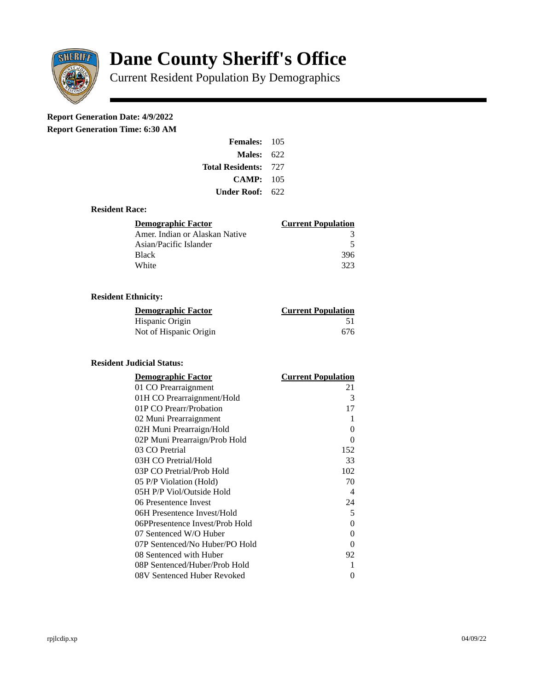

# **Dane County Sheriff's Office**

Current Resident Population By Demographics

# **Report Generation Date: 4/9/2022**

**Report Generation Time: 6:30 AM** 

| <b>Females: 105</b>         |     |
|-----------------------------|-----|
| <b>Males: 622</b>           |     |
| <b>Total Residents: 727</b> |     |
| CAMP: 105                   |     |
| Under Roof:                 | 622 |

#### **Resident Race:**

| Demographic Factor             | <b>Current Population</b> |
|--------------------------------|---------------------------|
| Amer. Indian or Alaskan Native |                           |
| Asian/Pacific Islander         | 5                         |
| Black                          | 396                       |
| White                          | 323                       |

## **Resident Ethnicity:**

| <u>Demographic Factor</u> | <b>Current Population</b> |
|---------------------------|---------------------------|
| Hispanic Origin           | 51                        |
| Not of Hispanic Origin    | 676                       |

### **Resident Judicial Status:**

| <b>Demographic Factor</b>       | <b>Current Population</b>  |
|---------------------------------|----------------------------|
| 01 CO Prearraignment            | 21                         |
| 01H CO Prearraignment/Hold      | 3                          |
| 01P CO Prearr/Probation         | 17                         |
| 02 Muni Prearraignment          | 1                          |
| 02H Muni Prearraign/Hold        | 0                          |
| 02P Muni Prearraign/Prob Hold   | 0                          |
| 03 CO Pretrial                  | 152                        |
| 03H CO Pretrial/Hold            | 33                         |
| 03P CO Pretrial/Prob Hold       | 102                        |
| 05 P/P Violation (Hold)         | 70                         |
| 05H P/P Viol/Outside Hold       | $\boldsymbol{\mathcal{A}}$ |
| 06 Presentence Invest           | 24                         |
| 06H Presentence Invest/Hold     | 5                          |
| 06PPresentence Invest/Prob Hold | 0                          |
| 07 Sentenced W/O Huber          | 0                          |
| 07P Sentenced/No Huber/PO Hold  | 0                          |
| 08 Sentenced with Huber         | 92                         |
| 08P Sentenced/Huber/Prob Hold   | 1                          |
| 08V Sentenced Huber Revoked     | 0                          |